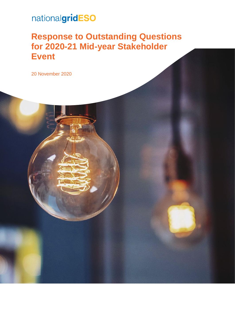# nationalgridESO

## **Response to Outstanding Questions for 2020-21 Mid-year Stakeholder Event**

20 November 2020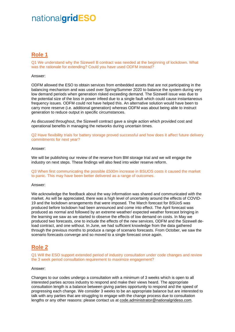## nationalgridESO

## **Role 1**

Q1 We understand why the Sizewell B contract was needed at the beginning of lockdown. What was the rationale for extending? Could you have used ODFM instead?

#### Answer:

ODFM allowed the ESO to obtain services from embedded assets that are not participating in the balancing mechanism and was used over Spring/Summer 2020 to balance the system during very low demand periods when generation risked exceeding demand. The Sizewell issue was due to the potential size of the loss in power infeed due to a single fault which could cause instantaneous frequency issues. ODFM could not have helped this. An alternative solution would have been to carry more reserve (i.e. additional generation) whereas ODFM was about being able to instruct generation to reduce output in specific circumstances.

As discussed throughout, the Sizewell contract gave a single action which provided cost and operational benefits in managing the networks during uncertain times.

Q2 Have flexibility trials for battery storage proved successful and how does it affect future delivery commitments for next year?

#### Answer:

We will be publishing our review of the reserve from BM storage trial and we will engage the industry on next steps. These findings will also feed into wider reserve reform.

Q3 When first communicating the possible £500m increase in BSUOS costs it caused the market to panic. This may have been better delivered as a range of outcomes.

#### Answer:

We acknowledge the feedback about the way information was shared and communicated with the market. As will be appreciated, there was a high level of uncertainty around the effects of COVID-19 and the lockdown arrangements that were imposed. The March forecast for BSUoS was produced before lockdown had been announced and come into effect. The April forecast was produced as normal and followed by an extreme weather/ expected weather forecast bringing in the learning we saw as we started to observe the effects of low demand on costs. In May we produced two forecasts, one to include the effects of the new services, ODFM and the Sizewell deload contract, and one without. In June, we had sufficient knowledge from the data gathered through the previous months to produce a range of scenario forecasts. From October, we saw the scenario forecasts converge and so moved to a single forecast once again.

### **Role 2**

Q1 Will the ESO support extended period of industry consultation under code changes and review the 3 week period consultation requirement to maximize engagement?

#### Answer:

Changes to our codes undergo a consultation with a minimum of 3 weeks which is open to all interested parties across industry to respond and make their views heard. The appropriate consultation length is a balance between giving parties opportunity to respond and the speed of progressing each change. We consider 3 weeks to be an appropriate balance but are interested to talk with any parties that are struggling to engage with the change process due to consultation lengths or any other reasons: please contact us at [code.administrator@nationalgrideso.com.](mailto:code.administrator@nationalgrideso.com)